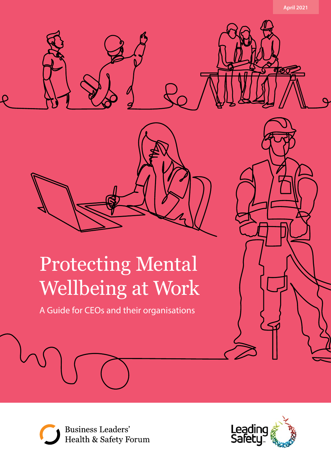

# Protecting Mental Wellbeing at Work

A Guide for CEOs and their organisations



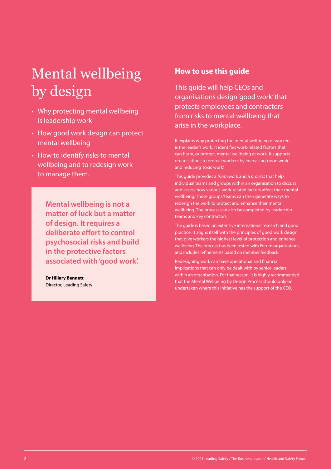# Mental wellbeing by design

- Why protecting mental wellbeing is leadership work
- How good work design can protect mental wellbeing
- How to identify risks to mental wellbeing and to redesign work to manage them.

**Mental wellbeing is not a matter of luck but a matter of design. It requires a deliberate effort to control psychosocial risks and build in the protective factors associated with 'good work'.** 

**Dr Hillary Bennett** Director, Leading Safety

## **How to use this guide**

This guide will help CEOs and organisations design 'good work' that protects employees and contractors from risks to mental wellbeing that arise in the workplace.

It explains why protecting the mental wellbeing of workers is the leader's work. It identifies work-related factors that can harm, or protect, mental wellbeing at work. It supports organisations to protect workers by increasing 'good work' and reducing 'toxic work'.

This guide provides a *framework* and a *process* that help individual teams and groups within an organisation to discuss and assess how various work-related factors affect their mental wellbeing. These groups/teams can then generate ways to redesign the work to protect and enhance their mental wellbeing. The process can also be completed by leadership teams and key contractors.

The guide is based on extensive international research and good practice. It aligns itself with the principles of good work design that give workers the highest level of protection and enhance wellbeing. The process has been tested with Forum organisations and includes refinements based on member feedback.

Redesigning work can have operational and financial implications that can only be dealt with by senior leaders within an organisation. For that reason, it is highly recommended that the Mental Wellbeing by Design Process should only be undertaken where this initiative has the support of the CEO.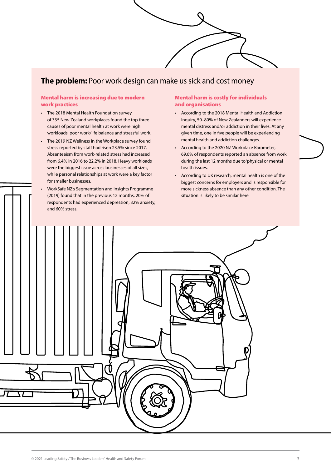# **The problem:** Poor work design can make us sick and cost money

### Mental harm is increasing due to modern work practices

- The 2018 Mental Health Foundation survey of 335 New Zealand workplaces found the top three causes of poor mental health at work were high workloads, poor work/life balance and stressful work.
- The 2019 NZ Wellness in the Workplace survey found stress reported by staff had risen 23.5% since 2017. Absenteeism from work-related stress had increased from 6.4% in 2016 to 22.2% in 2018. Heavy workloads were the biggest issue across businesses of all sizes, while personal relationships at work were a key factor for smaller businesses.
- WorkSafe NZ's Segmentation and Insights Programme (2019) found that in the previous 12 months, 20% of respondents had experienced depression, 32% anxiety, and 60% stress.

### Mental harm is costly for individuals and organisations

- According to the 2018 Mental Health and Addiction Inquiry, 50–80% of New Zealanders will experience mental distress and/or addiction in their lives. At any given time, one in five people will be experiencing mental health and addiction challenges.
- According to the 2020 NZ Workplace Barometer, 69.6% of respondents reported an absence from work during the last 12 months due to 'physical or mental health' issues.
- According to UK research, mental health is one of the biggest concerns for employers and is responsible for more sickness absence than any other condition. The situation is likely to be similar here.

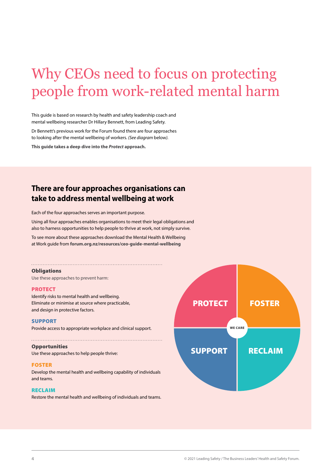# Why CEOs need to focus on protecting people from work-related mental harm

This guide is based on research by health and safety leadership coach and mental wellbeing researcher Dr Hillary Bennett, from Leading Safety.

Dr Bennett's previous work for the Forum found there are four approaches to looking after the mental wellbeing of workers. *(See diagram* below*).*

**This guide takes a deep dive into the** *Protect* **approach.** 

# **There are four approaches organisations can take to address mental wellbeing at work**

Each of the four approaches serves an important purpose.

Using all four approaches enables organisations to meet their legal obligations and also to harness opportunities to help people to thrive at work, not simply survive.

To see more about these approaches download the Mental Health & Wellbeing at Work guide from **[forum.org.nz/resources/ceo-guide-mental-wellbeing](https://forum.org.nz/resources/ceo-guide-mental-wellbeing/)**

### **Obligations**

Use these approaches to prevent harm:

### **PROTECT**

Identify risks to mental health and wellbeing. Eliminate or minimise at source where practicable, and design in protective factors.

### SUPPORT

Provide access to appropriate workplace and clinical support.

### **Opportunities**

Use these approaches to help people thrive:

### FOSTER

Develop the mental health and wellbeing capability of individuals and teams.

### RECLAIM

Restore the mental health and wellbeing of individuals and teams.

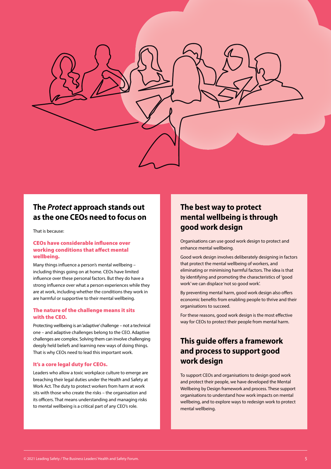

# **The** *Protect* **approach stands out as the one CEOs need to focus on**

That is because:

### CEOs have considerable influence over working conditions that affect mental wellbeing.

Many things influence a person's mental wellbeing – including things going on at home. CEOs have limited influence over these personal factors. But they do have a strong influence over what a person experiences while they are at work, including whether the conditions they work in are harmful or supportive to their mental wellbeing.

### The nature of the challenge means it sits with the CEO.

Protecting wellbeing is an 'adaptive' challenge – not a technical one – and adaptive challenges belong to the CEO. Adaptive challenges are complex. Solving them can involve challenging deeply held beliefs and learning new ways of doing things. That is why CEOs need to lead this important work.

### It's a core legal duty for CEOs.

Leaders who allow a toxic workplace culture to emerge are breaching their legal duties under the Health and Safety at Work Act. The duty to protect workers from harm at work sits with those who create the risks – the organisation and its officers. That means understanding and managing risks to mental wellbeing is a critical part of any CEO's role.

# **The best way to protect mental wellbeing is through good work design**

Organisations can use good work design to protect and enhance mental wellbeing.

Good work design involves deliberately designing in factors that protect the mental wellbeing of workers, and eliminating or minimising harmful factors. The idea is that by identifying and promoting the characteristics of 'good work' we can displace 'not so good work'.

By preventing mental harm, good work design also offers economic benefits from enabling people to thrive and their organisations to succeed.

For these reasons, good work design is the most effective way for CEOs to protect their people from mental harm.

# **This guide offers a framework and process to support good work design**

To support CEOs and organisations to design good work and protect their people, we have developed the Mental Wellbeing by Design framework and process. These support organisations to understand how work impacts on mental wellbeing, and to explore ways to redesign work to protect mental wellbeing.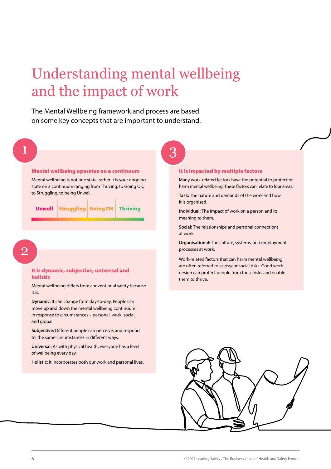# Understanding mental wellbeing and the impact of work

3

The Mental Wellbeing framework and process are based on some key concepts that are important to understand.

1

### Mental wellbeing operates on a continuum

Mental wellbeing is not one state, rather it is your ongoing state on a continuum ranging from Thriving, to Going OK, to Struggling, to being Unwell.

|  | <b>Unwell Struggling Going OK Thriving</b> |  |  |
|--|--------------------------------------------|--|--|
|--|--------------------------------------------|--|--|

 $\pm$ 

2

### It is dynamic, subjective, universal and holistic

Mental wellbeing differs from conventional safety because it is:

**Dynamic:** It can change from day-to-day. People can move up and down the mental wellbeing continuum in response to circumstances – personal, work, social, and global.

**Subjective:** Different people can perceive, and respond to, the same circumstances in different ways.

**Universal:** As with physical health, everyone has a level of wellbeing every day.

**Holistic:** It incorporates both our work and personal lives.

### It is impacted by multiple factors

Many work-related factors have the potential to protect or harm mental wellbeing. These factors can relate to four areas:

**Task:** The nature and demands of the work and how it is organised.

**Individual:** The impact of work on a person and its meaning to them.

**Social:** The relationships and personal connections at work.

**Organisational:** The culture, systems, and employment processes at work.

Work-related factors that can harm mental wellbeing are often referred to as psychosocial risks. Good work design can protect people from these risks and enable them to thrive.

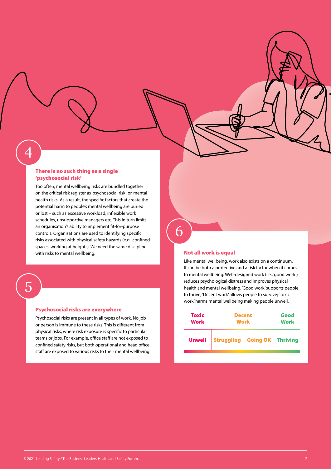# 4

### There is no such thing as a single 'psychosocial risk'

Too often, mental wellbeing risks are bundled together on the critical risk register as 'psychosocial risk', or 'mental health risks'. As a result, the specific factors that create the potential harm to people's mental wellbeing are buried or lost – such as excessive workload, inflexible work schedules, unsupportive managers etc. This in turn limits an organisation's ability to implement fit-for-purpose controls. Organisations are used to identifying specific risks associated with physical safety hazards (e.g., confined spaces, working at heights). We need the same discipline with risks to mental wellbeing. Not all work is equal

5

### Psychosocial risks are everywhere

Psychosocial risks are present in all types of work. No job or person is immune to these risks. This is different from physical risks, where risk exposure is specific to particular teams or jobs. For example, office staff are not exposed to confined safety risks, but both operational and head office staff are exposed to various risks to their mental wellbeing.

6

Like mental wellbeing, work also exists on a continuum. It can be both a protective and a risk factor when it comes to mental wellbeing. Well-designed work (i.e., 'good work') reduces psychological distress and improves physical health and mental wellbeing. 'Good work' supports people to thrive; 'Decent work' allows people to survive; 'Toxic work' harms mental wellbeing making people unwell.

| <b>Toxic</b>  | <b>Decent</b>                    | Good |  |  |  |  |
|---------------|----------------------------------|------|--|--|--|--|
| <b>Work</b>   | <b>Work</b>                      | Work |  |  |  |  |
| <b>Unwell</b> | Struggling   Going OK   Thriving |      |  |  |  |  |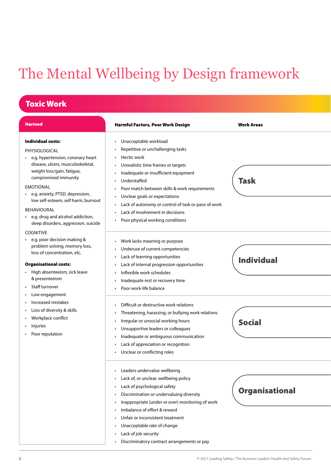# The Mental Wellbeing by Design framework

# Toxic Work

| <b>Harmed</b>                                                                                                                                                                                                                                                                                                                                                                 | <b>Harmful Factors, Poor Work Design</b>                                                                                                                                                                                                                                                                                                                                                                                                                                                                                                                     | <b>Work Areas</b>                  |
|-------------------------------------------------------------------------------------------------------------------------------------------------------------------------------------------------------------------------------------------------------------------------------------------------------------------------------------------------------------------------------|--------------------------------------------------------------------------------------------------------------------------------------------------------------------------------------------------------------------------------------------------------------------------------------------------------------------------------------------------------------------------------------------------------------------------------------------------------------------------------------------------------------------------------------------------------------|------------------------------------|
| <b>Individual costs:</b><br>PHYSIOLOGICAL<br>e.g. hypertension, coronary heart<br>disease, ulcers, musculoskeletal,<br>weight loss/gain, fatigue,<br>compromised immunity<br><b>EMOTIONAL</b><br>• e.g. anxiety, PTSD, depression,<br>low self-esteem, self harm, burnout<br><b>BEHAVIOURAL</b><br>• e.g. drug and alcohol addiction,<br>sleep disorders, aggression, suicide | Unacceptable workload<br>$\bullet$<br>Repetitive or unchallenging tasks<br>Hectic work<br>Unrealistic time frames or targets<br>Inadequate or insufficient equipment<br>Understaffed<br>Poor match between skills & work requirements<br>Unclear goals or expectations<br>Lack of autonomy or control of task or pace of work<br>Lack of involvement in decisions<br>Poor physical working conditions                                                                                                                                                        | <b>Task</b>                        |
| <b>COGNITIVE</b><br>e.g. poor decision making &<br>problem solving, memory loss,<br>loss of concentration, etc.<br><b>Organisational costs:</b><br>High absenteeism, sick leave<br>& presenteeism<br>Staff turnover<br>Low engagement<br>Increased mistakes<br>Loss of diversity & skills<br>Workplace conflict<br>Injuries<br>Poor reputation                                | Work lacks meaning or purpose<br>Underuse of current competencies<br>Lack of learning opportunities<br>٠<br>Lack of internal progression opportunities<br>$\bullet$<br>Inflexible work schedules<br>Inadequate rest or recovery time<br>Poor work-life balance<br>Difficult or destructive work relations<br>Threatening, harassing, or bullying work relations<br>Irregular or unsocial working hours<br>Unsupportive leaders or colleagues<br>Inadequate or ambiguous communication<br>Lack of appreciation or recognition<br>Unclear or conflicting roles | <b>Individual</b><br><b>Social</b> |
|                                                                                                                                                                                                                                                                                                                                                                               | Leaders undervalue wellbeing<br>Lack of, or unclear, wellbeing policy<br>Lack of psychological safety<br>Discrimination or undervaluing diversity<br>Inappropriate (under or over) monitoring of work<br>Imbalance of effort & reward<br>Unfair or inconsistent treatment<br>Unacceptable rate of change<br>Lack of job security<br>Discriminatory contract arrangements or pay                                                                                                                                                                              | <b>Organisational</b>              |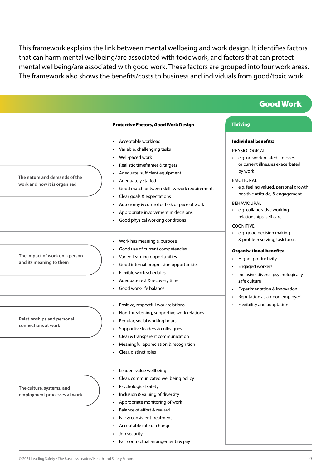This framework explains the link between mental wellbeing and work design. It identifies factors that can harm mental wellbeing/are associated with toxic work, and factors that can protect mental wellbeing/are associated with good work. These factors are grouped into four work areas. The framework also shows the benefits/costs to business and individuals from good/toxic work.

|                                                               |                                                                                                                                                                                                                                                                                                                                                                            | <b>Good Work</b>                                                                                                                                                                                                                                                                                                                        |
|---------------------------------------------------------------|----------------------------------------------------------------------------------------------------------------------------------------------------------------------------------------------------------------------------------------------------------------------------------------------------------------------------------------------------------------------------|-----------------------------------------------------------------------------------------------------------------------------------------------------------------------------------------------------------------------------------------------------------------------------------------------------------------------------------------|
|                                                               | <b>Protective Factors, Good Work Design</b>                                                                                                                                                                                                                                                                                                                                | <b>Thriving</b>                                                                                                                                                                                                                                                                                                                         |
| The nature and demands of the<br>work and how it is organised | • Acceptable workload<br>Variable, challenging tasks<br>Well-paced work<br>Realistic timeframes & targets<br>Adequate, sufficient equipment<br>Adequately staffed<br>Good match between skills & work requirements<br>Clear goals & expectations<br>Autonomy & control of task or pace of work<br>Appropriate involvement in decisions<br>Good physical working conditions | <b>Individual benefits:</b><br>PHYSIOLOGICAL<br>• e.g. no work-related illnesses<br>or current illnesses exacerbated<br>by work<br><b>EMOTIONAL</b><br>• e.g. feeling valued, personal growth,<br>positive attitude, & engagement<br><b>BEHAVIOURAL</b><br>• e.g. collaborative working<br>relationships, self care<br><b>COGNITIVE</b> |
| The impact of work on a person<br>and its meaning to them     | • Work has meaning & purpose<br>Good use of current competencies<br>Varied learning opportunities<br>Good internal progression opportunities<br>Flexible work schedules<br>Adequate rest & recovery time<br>Good work-life balance                                                                                                                                         | · e.g. good decision making<br>& problem solving, task focus<br><b>Organisational benefits:</b><br>Higher productivity<br>Engaged workers<br>• Inclusive, diverse psychologically<br>safe culture<br>Experimentation & innovation                                                                                                       |
| Relationships and personal<br>connections at work             | Positive, respectful work relations<br>Non-threatening, supportive work relations<br>Regular, social working hours<br>Supportive leaders & colleagues<br>Clear & transparent communication<br>• Meaningful appreciation & recognition<br>• Clear, distinct roles                                                                                                           | Reputation as a 'good employer'<br>• Flexibility and adaptation                                                                                                                                                                                                                                                                         |
| The culture, systems, and<br>employment processes at work     | Leaders value wellbeing<br>Clear, communicated wellbeing policy<br>Psychological safety<br>Inclusion & valuing of diversity<br>Appropriate monitoring of work<br>Balance of effort & reward<br>Fair & consistent treatment<br>• Acceptable rate of change<br>Job security<br>• Fair contractual arrangements & pay                                                         |                                                                                                                                                                                                                                                                                                                                         |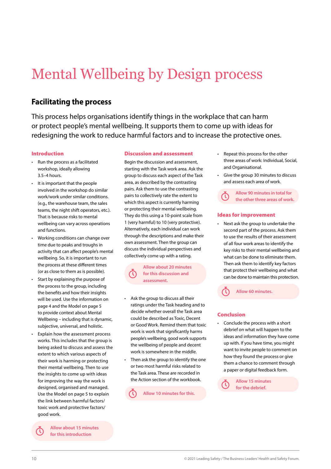# Mental Wellbeing by Design process

## **Facilitating the process**

This process helps organisations identify things in the workplace that can harm or protect people's mental wellbeing. It supports them to come up with ideas for redesigning the work to reduce harmful factors and to increase the protective ones.

### Introduction

- Run the process as a facilitated workshop, ideally allowing 3.5–4 hours.
- It is important that the people involved in the workshop do similar work/work under similar conditions. (e.g., the warehouse team, the sales teams, the night shift operators, etc.). That is because risks to mental wellbeing can vary across operations and functions.
- Working conditions can change over time due to peaks and troughs in activity that can affect people's mental wellbeing. So, it is important to run the process at these different times (or as close to them as is possible).
- Start by explaining the purpose of the process to the group, including the benefits and how their insights will be used. Use the information on page 4 and the Model on page 5 to provide context about Mental Wellbeing – including that is dynamic, subjective, universal, and holistic.
- Explain how the assessment process works. This includes that the group is being asked to discuss and assess the extent to which various aspects of their work is harming or protecting their mental wellbeing. Then to use the insights to come up with ideas for improving the way the work is designed, organised and managed. Use the Model on page 5 to explain the link between harmful factors/ toxic work and protective factors/ good work.

**Allow about 15 minutes for this introduction**

### Discussion and assessment

Begin the discussion and assessment, starting with the Task work area. Ask the group to discuss each aspect of the Task area, as described by the contrasting pairs. Ask them to use the contrasting pairs to collectively rate the extent to which this aspect is currently harming or protecting their mental wellbeing. They do this using a 10-point scale from 1 (very harmful) to 10 (very protective). Alternatively, each individual can work through the descriptions and make their own assessment. Then the group can discuss the individual perspectives and collectively come up with a rating.

> **Allow about 20 minutes for this discussion and assessment.**

- Ask the group to discuss all their ratings under the Task heading and to decide whether overall the Task area could be described as Toxic, Decent or Good Work. Remind them that toxic work is work that significantly harms people's wellbeing, good work supports the wellbeing of people and decent work is somewhere in the middle.
- Then ask the group to identify the one or two most harmful risks related to the Task area. These are recorded in the Action section of the workbook.

**Allow 10 minutes for this.** 

- Repeat this process for the other three areas of work: Individual, Social, and Organisational.
- Give the group 30 minutes to discuss and assess each area of work.

**Allow 90 minutes in total for the other three areas of work.** 

### Ideas for improvement

• Next ask the group to undertake the second part of the process. Ask them to use the results of their assessment of all four work areas to identify the key risks to their mental wellbeing and what can be done to eliminate them. Then ask them to identify key factors that protect their wellbeing and what can be done to maintain this protection.

**Allow 60 minutes.** 

### Conclusion

• Conclude the process with a short debrief on what will happen to the ideas and information they have come up with. If you have time, you might want to invite people to comment on how they found the process or give them a chance to comment through a paper or digital feedback form.

> **Allow 15 minutes for the debrief.**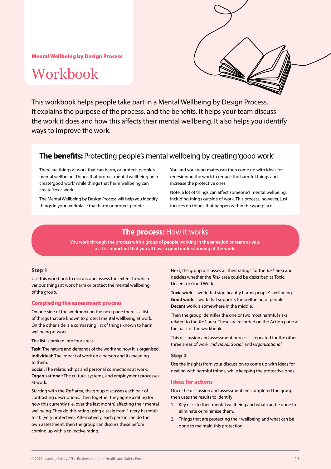Mental Wellbeing by Design Process

# Workbook



This workbook helps people take part in a Mental Wellbeing by Design Process. It explains the purpose of the process, and the benefits. It helps your team discuss the work it does and how this affects their mental wellbeing. It also helps you identify ways to improve the work.

## **The benefits:** Protecting people's mental wellbeing by creating 'good work'

There are things at work that can harm, or protect, people's mental wellbeing. Things that protect mental wellbeing help create 'good work' while things that harm wellbeing can create 'toxic work'.

The Mental Wellbeing by Design Process will help you identify things in your workplace that harm or protect people.

You and your workmates can then come up with ideas for redesigning the work to reduce the harmful things and increase the protective ones.

Note, a lot of things can affect someone's mental wellbeing, including things outside of work. This process, however, just focuses on things that happen within the workplace.

## **The process:** How it works

**You work through the process with a group of people working in the same job or team as you, as it is important that you all have a good understanding of the work.**

### Step 1

Use this workbook to discuss and assess the extent to which various things at work harm or protect the mental wellbeing of the group.

### Completing the assessment process

On one side of the workbook on the next page there is a list of things that are known to protect mental wellbeing at work. On the other side is a contrasting list of things known to harm wellbeing at work.

The list is broken into four areas:

**Task:** The nature and demands of the work and how it is organised. **Individual:** The impact of work on a person and its meaning to them.

**Social:** The relationships and personal connections at work. **Organisational:** The culture, systems, and employment processes at work.

Starting with the *Task* area, the group discusses each pair of contrasting descriptions. Then together they agree a rating for how this currently (i.e. over the last month) affecting their mental wellbeing. They do this rating using a scale from 1 (very harmful) to 10 (very protective). Alternatively, each person can do their own assessment, then the group can discuss these before coming up with a collective rating.

Next, the group discusses all their ratings for the *Task* area and decides whether the *Task* area could be described as Toxic, Decent or Good Work.

**Toxic work** is work that significantly harms people's wellbeing. **Good work** is work that supports the wellbeing of people. **Decent work** is somewhere in the middle.

Then the group identifies the one or two most harmful risks related to the *Task* area. These are recorded on the Action page at the back of the workbook.

This discussion and assessment process is repeated for the other three areas of work: *Individual, Social*, and *Organisational*.

### Step 2

Use the insights from your discussion to come up with ideas for dealing with harmful things, while keeping the protective ones.

### Ideas for actions

Once the discussion and assessment are completed the group then uses the results to identify:

- 1. Key risks to their mental wellbeing and what can be done to eliminate or minimise them.
- 2. Things that are protecting their wellbeing and what can be done to maintain this protection.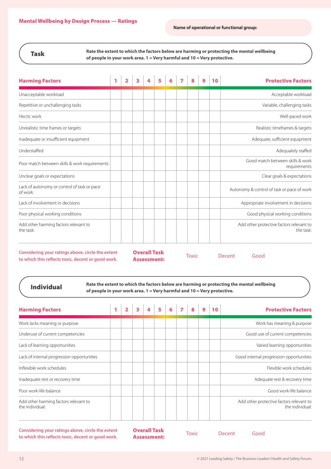### Task

**Rate the extent to which the factors below are harming or protecting the mental wellbeing of people in your work area. 1 = Very harmful and 10 = Very protective.**

| <b>Harming Factors</b>                                                                                  | 1 | 2 | 3 |                                           | 5 | 6 | 7 | 8            | 9 | 10 | <b>Protective Factors</b>                             |
|---------------------------------------------------------------------------------------------------------|---|---|---|-------------------------------------------|---|---|---|--------------|---|----|-------------------------------------------------------|
| Unacceptable workload                                                                                   |   |   |   |                                           |   |   |   |              |   |    | Acceptable workload                                   |
| Repetitive or unchallenging tasks                                                                       |   |   |   |                                           |   |   |   |              |   |    | Variable, challenging tasks                           |
| Hectic work                                                                                             |   |   |   |                                           |   |   |   |              |   |    | Well-paced work                                       |
| Unrealistic time frames or targets                                                                      |   |   |   |                                           |   |   |   |              |   |    | Realistic timeframes & targets                        |
| Inadequate or insufficient equipment                                                                    |   |   |   |                                           |   |   |   |              |   |    | Adequate, sufficient equipment                        |
| Understaffed                                                                                            |   |   |   |                                           |   |   |   |              |   |    | Adequately staffed                                    |
| Poor match between skills & work requirements                                                           |   |   |   |                                           |   |   |   |              |   |    | Good match between skills & work<br>requirements      |
| Unclear goals or expectations                                                                           |   |   |   |                                           |   |   |   |              |   |    | Clear goals & expectations                            |
| Lack of autonomy or control of task or pace<br>of work                                                  |   |   |   |                                           |   |   |   |              |   |    | Autonomy & control of task or pace of work            |
| Lack of involvement in decisions                                                                        |   |   |   |                                           |   |   |   |              |   |    | Appropriate involvement in decisions                  |
| Poor physical working conditions                                                                        |   |   |   |                                           |   |   |   |              |   |    | Good physical working conditions                      |
| Add other harming factors relevant to<br>the task:                                                      |   |   |   |                                           |   |   |   |              |   |    | Add other protective factors relevant to<br>the task: |
| Considering your ratings above, circle the extent<br>to which this reflects toxic, decent or good work. |   |   |   | <b>Overall Task</b><br><b>Assessment:</b> |   |   |   | <b>Toxic</b> |   |    | Decent<br>Good                                        |

Individual

**Rate the extent to which the factors below are harming or protecting the mental wellbeing of people in your work area. 1 = Very harmful and 10 = Very protective.**

|  |  | 5 |  | 8 | 9 | <b>Protective Factors</b>                                   |
|--|--|---|--|---|---|-------------------------------------------------------------|
|  |  |   |  |   |   | Work has meaning & purpose                                  |
|  |  |   |  |   |   | Good use of current competencies                            |
|  |  |   |  |   |   | Varied learning opportunities                               |
|  |  |   |  |   |   | Good internal progression opportunities                     |
|  |  |   |  |   |   | Flexible work schedules                                     |
|  |  |   |  |   |   | Adequate rest & recovery time                               |
|  |  |   |  |   |   | Good work-life balance                                      |
|  |  |   |  |   |   | Add other protective factors relevant to<br>the individual: |
|  |  |   |  |   |   |                                                             |

**Considering your ratings above, circle the extent to which this reflects toxic, decent or good work.**

Overall Task **Assessment:** Toxic Decent Good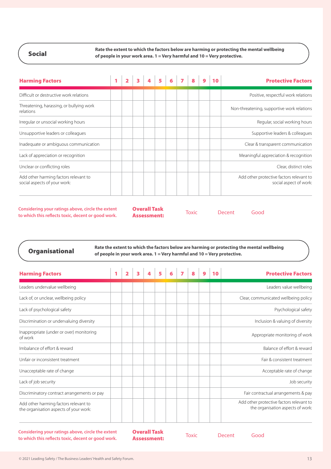Social

**Rate the extent to which the factors below are harming or protecting the mental wellbeing of people in your work area. 1 = Very harmful and 10 = Very protective.**

| <b>Harming Factors</b>                                                |  | $\overline{\mathbf{3}}$ | $\overline{\mathbf{5}}$ | 6 <sup>1</sup> | $\overline{\phantom{a}}$ | $\mathbf{a}$ |  | <b>Protective Factors</b>                                          |
|-----------------------------------------------------------------------|--|-------------------------|-------------------------|----------------|--------------------------|--------------|--|--------------------------------------------------------------------|
| Difficult or destructive work relations                               |  |                         |                         |                |                          |              |  | Positive, respectful work relations                                |
| Threatening, harassing, or bullying work<br>relations                 |  |                         |                         |                |                          |              |  | Non-threatening, supportive work relations                         |
| Irregular or unsocial working hours                                   |  |                         |                         |                |                          |              |  | Regular, social working hours                                      |
| Unsupportive leaders or colleagues                                    |  |                         |                         |                |                          |              |  | Supportive leaders & colleagues                                    |
| Inadequate or ambiguous communication                                 |  |                         |                         |                |                          |              |  | Clear & transparent communication                                  |
| Lack of appreciation or recognition                                   |  |                         |                         |                |                          |              |  | Meaningful appreciation & recognition                              |
| Unclear or conflicting roles                                          |  |                         |                         |                |                          |              |  | Clear, distinct roles                                              |
| Add other harming factors relevant to<br>social aspects of your work: |  |                         |                         |                |                          |              |  | Add other protective factors relevant to<br>social aspect of work: |

**Considering your ratings above, circle the extent to which this reflects toxic, decent or good work.**

Overall Task **Assessment:** Toxic Decent Good

**Organisational** Rate the extent to which the factors below are harming or protecting the mental wellbeing **Organisational of people in your work area. 1 = Very harmful and 10 = Very protective.**

| 1 | 2 | 3 | 5 |  | 8 | 10 | <b>Protective Factors</b>                                                     |
|---|---|---|---|--|---|----|-------------------------------------------------------------------------------|
|   |   |   |   |  |   |    | Leaders value wellbeing                                                       |
|   |   |   |   |  |   |    | Clear, communicated wellbeing policy                                          |
|   |   |   |   |  |   |    | Psychological safety                                                          |
|   |   |   |   |  |   |    | Inclusion & valuing of diversity                                              |
|   |   |   |   |  |   |    | Appropriate monitoring of work                                                |
|   |   |   |   |  |   |    | Balance of effort & reward                                                    |
|   |   |   |   |  |   |    | Fair & consistent treatment                                                   |
|   |   |   |   |  |   |    | Acceptable rate of change                                                     |
|   |   |   |   |  |   |    | Job security                                                                  |
|   |   |   |   |  |   |    | Fair contractual arrangements & pay                                           |
|   |   |   |   |  |   |    | Add other protective factors relevant to<br>the organisation aspects of work: |
|   |   |   |   |  |   |    |                                                                               |

**Considering your ratings above, circle the extent to which this reflects toxic, decent or good work.**

Overall Task **Assessment:** Toxic Decent Good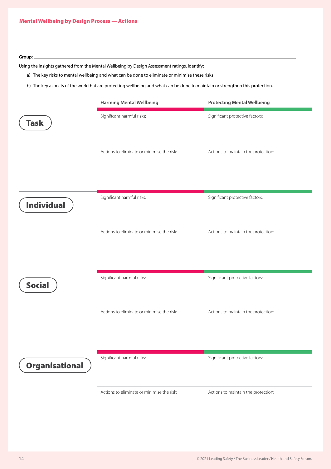### **Group**:

Using the insights gathered from the Mental Wellbeing by Design Assessment ratings, identify:

a) The key risks to mental wellbeing and what can be done to eliminate or minimise these risks

b) The key aspects of the work that are protecting wellbeing and what can be done to maintain or strengthen this protection.

|                   | <b>Harming Mental Wellbeing</b>            | <b>Protecting Mental Wellbeing</b>  |
|-------------------|--------------------------------------------|-------------------------------------|
| <b>Task</b>       | Significant harmful risks:                 | Significant protective factors:     |
|                   | Actions to eliminate or minimise the risk: | Actions to maintain the protection: |
| <b>Individual</b> | Significant harmful risks:                 | Significant protective factors:     |
|                   | Actions to eliminate or minimise the risk: | Actions to maintain the protection: |
| <b>Social</b>     | Significant harmful risks:                 | Significant protective factors:     |
|                   | Actions to eliminate or minimise the risk: | Actions to maintain the protection: |
| Organisational    | Significant harmful risks:                 | Significant protective factors:     |
|                   | Actions to eliminate or minimise the risk: | Actions to maintain the protection: |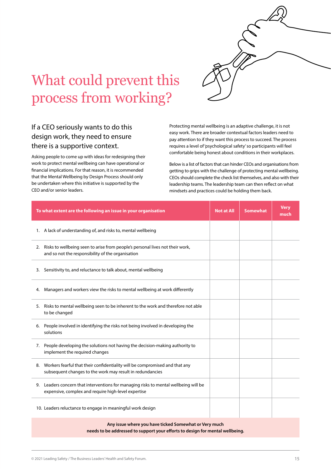

# What could prevent this process from working?

## If a CEO seriously wants to do this design work, they need to ensure there is a supportive context.

Asking people to come up with ideas for redesigning their work to protect mental wellbeing can have operational or financial implications. For that reason, it is recommended that the Mental Wellbeing by Design Process should only be undertaken where this initiative is supported by the CEO and/or senior leaders.

Protecting mental wellbeing is an adaptive challenge, it is not easy work. There are broader contextual factors leaders need to pay attention to if they want this process to succeed. The process requires a level of 'psychological safety' so participants will feel comfortable being honest about conditions in their workplaces.

Below is a list of factors that can hinder CEOs and organisations from getting to grips with the challenge of protecting mental wellbeing. CEOs should complete the check list themselves, and also with their leadership teams. The leadership team can then reflect on what mindsets and practices could be holding them back.

| To what extent are the following an issue in your organisation                                                                                 | <b>Not at All</b> | <b>Somewhat</b> | <b>Very</b><br>much |
|------------------------------------------------------------------------------------------------------------------------------------------------|-------------------|-----------------|---------------------|
| 1. A lack of understanding of, and risks to, mental wellbeing                                                                                  |                   |                 |                     |
| Risks to wellbeing seen to arise from people's personal lives not their work,<br>2.<br>and so not the responsibility of the organisation       |                   |                 |                     |
| 3. Sensitivity to, and reluctance to talk about, mental wellbeing                                                                              |                   |                 |                     |
| Managers and workers view the risks to mental wellbeing at work differently<br>4.                                                              |                   |                 |                     |
| Risks to mental wellbeing seen to be inherent to the work and therefore not able<br>5.<br>to be changed                                        |                   |                 |                     |
| People involved in identifying the risks not being involved in developing the<br>6.<br>solutions                                               |                   |                 |                     |
| People developing the solutions not having the decision-making authority to<br>7.<br>implement the required changes                            |                   |                 |                     |
| Workers fearful that their confidentiality will be compromised and that any<br>8.<br>subsequent changes to the work may result in redundancies |                   |                 |                     |
| Leaders concern that interventions for managing risks to mental wellbeing will be<br>9.<br>expensive, complex and require high-level expertise |                   |                 |                     |
| 10. Leaders reluctance to engage in meaningful work design                                                                                     |                   |                 |                     |

**Any issue where you have ticked Somewhat or Very much needs to be addressed to support your efforts to design for mental wellbeing.**